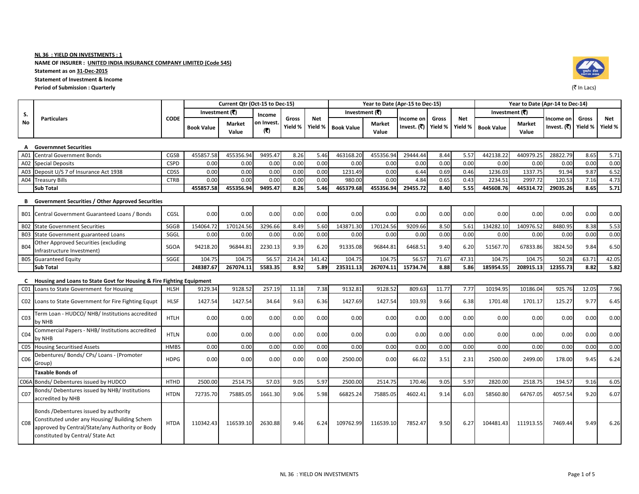NAME OF INSURER : UNITED INDIA INSURANCE COMPANY LIMITED (Code 545)

Statement as on 31-Dec-2015

Statement of Investment & Income

#### Period of Submission : Quarterlyy with the contract of the contract of the contract of the contract of the contract of the contract of the contract of the contract of the contract of the contract of the contract of the contract of the contract of the c

|                 | <b>Particulars</b>                                                                                                                                                             |             |                   | Current Qtr (Oct-15 to Dec-15) |                  |                  |                       |                   | Year to Date (Apr-15 to Dec-15) |                          |                  |                       |                   |                        | Year to Date (Apr-14 to Dec-14) |                  |                |  |
|-----------------|--------------------------------------------------------------------------------------------------------------------------------------------------------------------------------|-------------|-------------------|--------------------------------|------------------|------------------|-----------------------|-------------------|---------------------------------|--------------------------|------------------|-----------------------|-------------------|------------------------|---------------------------------|------------------|----------------|--|
| S.              |                                                                                                                                                                                |             | Investment (₹)    |                                | Income           |                  |                       | Investment (₹)    |                                 |                          |                  |                       | Investment (₹)    |                        |                                 |                  |                |  |
| No              |                                                                                                                                                                                | <b>CODE</b> | <b>Book Value</b> | <b>Market</b><br>Value         | on Invest<br>(3) | Gross<br>Yield % | <b>Net</b><br>Yield % | <b>Book Value</b> | <b>Market</b><br>Value          | Income on<br>Invest. (₹) | Gross<br>Yield % | <b>Net</b><br>Yield % | <b>Book Value</b> | <b>Market</b><br>Value | Income on<br>Invest. (₹)        | Gross<br>Yield % | Net<br>Yield % |  |
| A               | <b>Governmnet Securities</b>                                                                                                                                                   |             |                   |                                |                  |                  |                       |                   |                                 |                          |                  |                       |                   |                        |                                 |                  |                |  |
| A01             | <b>Central Government Bonds</b>                                                                                                                                                | CGSB        | 455857.58         | 455356.94                      | 9495.47          | 8.26             | 5.46                  | 463168.20         | 455356.94                       | 29444.44                 | 8.44             | 5.57                  | 442138.22         | 440979.25              | 28822.79                        | 8.65             | 5.71           |  |
| A02             | <b>Special Deposits</b>                                                                                                                                                        | <b>CSPD</b> | 0.00              | 0.00                           | 0.00             | 0.00             | 0.00                  | 0.00              | 0.00                            | 0.00                     | 0.00             | 0.00                  | 0.00              | 0.00                   | 0.00                            | 0.00             | 0.00           |  |
| A03             | Deposit U/S 7 of Insurance Act 1938                                                                                                                                            | <b>CDSS</b> | 0.00              | 0.00                           | 0.00             | 0.00             | 0.00                  | 1231.49           | 0.00                            | 6.44                     | 0.69             | 0.46                  | 1236.03           | 1337.75                | 91.94                           | 9.87             | 6.52           |  |
| A04             | <b>Treasury Bills</b>                                                                                                                                                          | <b>CTRB</b> | 0.00              | 0.00                           | 0.00             | 0.00             | 0.00                  | 980.00            | 0.00                            | 4.84                     | 0.65             | 0.43                  | 2234.51           | 2997.72                | 120.53                          | 7.16             | 4.73           |  |
|                 | <b>Sub Total</b>                                                                                                                                                               |             | 455857.58         | 455356.94                      | 9495.47          | 8.26             | 5.46                  | 465379.68         | 455356.94                       | 29455.72                 | 8.40             | 5.55                  | 445608.76         | 445314.72              | 29035.26                        | 8.65             | 5.71           |  |
|                 | <b>B</b> Government Securities / Other Approved Securities                                                                                                                     |             |                   |                                |                  |                  |                       |                   |                                 |                          |                  |                       |                   |                        |                                 |                  |                |  |
|                 | B01 Central Government Guaranteed Loans / Bonds                                                                                                                                | CGSL        | 0.00              | 0.00                           | 0.00             | 0.00             | 0.00                  | 0.00              | 0.00                            | 0.00                     | 0.00             | 0.00                  | 0.00              | 0.00                   | 0.00                            | 0.00             | 0.00           |  |
| <b>B02</b>      | <b>State Government Securities</b>                                                                                                                                             | SGGB        | 154064.72         | 170124.56                      | 3296.66          | 8.49             | 5.60                  | 143871.30         | 170124.56                       | 9209.66                  | 8.50             | 5.61                  | 134282.10         | 140976.52              | 8480.95                         | 8.38             | 5.53           |  |
| <b>B03</b>      | State Government guaranteed Loans                                                                                                                                              | SGGL        | 0.00              | 0.00                           | 0.00             | 0.00             | 0.00                  | 0.00              | 0.00                            | 0.00                     | 0.00             | 0.00                  | 0.00              | 0.00                   | 0.00                            | 0.00             | 0.00           |  |
| <b>B04</b>      | Other Approved Securities (excluding<br>Infrastructure Investment)                                                                                                             | SGOA        | 94218.20          | 96844.81                       | 2230.13          | 9.39             | 6.20                  | 91335.08          | 96844.81                        | 6468.51                  | 9.40             | 6.20                  | 51567.70          | 67833.86               | 3824.50                         | 9.84             | 6.50           |  |
|                 | <b>B05</b> Guaranteed Equity                                                                                                                                                   | SGGE        | 104.75            | 104.75                         | 56.57            | 214.24           | 141.42                | 104.75            | 104.75                          | 56.57                    | 71.67            | 47.31                 | 104.75            | 104.75                 | 50.28                           | 63.71            | 42.05          |  |
|                 | <b>Sub Total</b>                                                                                                                                                               |             | 248387.67         | 267074.11                      | 5583.35          | 8.92             | 5.89                  | 235311.13         | 267074.11                       | 15734.74                 | 8.88             | 5.86                  | 185954.55         | 208915.13              | 12355.73                        | 8.82             | 5.82           |  |
|                 | C Housing and Loans to State Govt for Housing & Fire Fighting Equipment                                                                                                        |             |                   |                                |                  |                  |                       |                   |                                 |                          |                  |                       |                   |                        |                                 |                  |                |  |
| CO1             | Loans to State Government for Housing                                                                                                                                          | <b>HLSH</b> | 9129.34           | 9128.52                        | 257.19           | 11.18            | 7.38                  | 9132.81           | 9128.52                         | 809.63                   | 11.77            | 7.77                  | 10194.95          | 10186.04               | 925.76                          | 12.05            | 7.96           |  |
|                 | CO2 Loans to State Government for Fire Fighting Equpt                                                                                                                          | <b>HLSF</b> | 1427.54           | 1427.54                        | 34.64            | 9.63             | 6.36                  | 1427.69           | 1427.54                         | 103.93                   | 9.66             | 6.38                  | 1701.48           | 1701.17                | 125.27                          | 9.77             | 6.45           |  |
| CO <sub>3</sub> | Term Loan - HUDCO/ NHB/ Institutions accredited<br>by NHB                                                                                                                      | <b>HTLH</b> | 0.00              | 0.00                           | 0.00             | 0.00             | 0.00                  | 0.00              | 0.00                            | 0.00                     | 0.00             | 0.00                  | 0.00              | 0.00                   | 0.00                            | 0.00             | 0.00           |  |
| CO <sub>4</sub> | Commercial Papers - NHB/ Institutions accredited<br>by NHB                                                                                                                     | <b>HTLN</b> | 0.00              | 0.00                           | 0.00             | 0.00             | 0.00                  | 0.00              | 0.00                            | 0.00                     | 0.00             | 0.00                  | 0.00              | 0.00                   | 0.00                            | 0.00             | 0.00           |  |
| CO <sub>5</sub> | <b>Housing Securitised Assets</b>                                                                                                                                              | <b>HMBS</b> | 0.00              | 0.00                           | 0.00             | 0.00             | 0.00                  | 0.00              | 0.00                            | 0.00                     | 0.00             | 0.00                  | 0.00              | 0.00                   | 0.00                            | 0.00             | 0.00           |  |
| CO6             | Debentures/ Bonds/ CPs/ Loans - (Promoter<br>Group)                                                                                                                            | <b>HDPG</b> | 0.00              | 0.00                           | 0.00             | 0.00             | 0.00                  | 2500.00           | 0.00                            | 66.02                    | 3.51             | 2.31                  | 2500.00           | 2499.00                | 178.00                          | 9.45             | 6.24           |  |
|                 | <b>Taxable Bonds of</b>                                                                                                                                                        |             |                   |                                |                  |                  |                       |                   |                                 |                          |                  |                       |                   |                        |                                 |                  |                |  |
|                 | C06A Bonds/Debentures issued by HUDCO                                                                                                                                          | <b>HTHD</b> | 2500.00           | 2514.75                        | 57.03            | 9.05             | 5.97                  | 2500.00           | 2514.75                         | 170.46                   | 9.05             | 5.97                  | 2820.00           | 2518.75                | 194.57                          | 9.16             | 6.05           |  |
| CO <sub>7</sub> | Bonds/Debentures issued by NHB/Institutions<br>accredited by NHB                                                                                                               | <b>HTDN</b> | 72735.70          | 75885.05                       | 1661.30          | 9.06             | 5.98                  | 66825.24          | 75885.05                        | 4602.41                  | 9.14             | 6.03                  | 58560.80          | 64767.05               | 4057.54                         | 9.20             | 6.07           |  |
| CO8             | Bonds /Debentures issued by authority<br>Constituted under any Housing/ Building Schem<br>approved by Central/State/any Authority or Body<br>constituted by Central/ State Act | <b>HTDA</b> | 110342.43         | 116539.10                      | 2630.88          | 9.46             | 6.24                  | 109762.99         | 116539.10                       | 7852.47                  | 9.50             | 6.27                  | 104481.43         | 111913.55              | 7469.44                         | 9.49             | 6.26           |  |

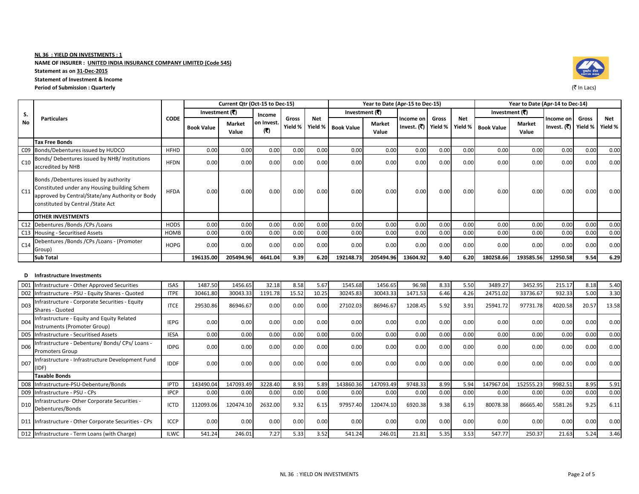NAME OF INSURER : UNITED INDIA INSURANCE COMPANY LIMITED (Code 545)

Statement as on 31-Dec-2015

Statement of Investment & Income

#### Period of Submission : Quarterlyy with the contract of the contract of the contract of the contract of the contract of the contract of the contract of the contract of the contract of the contract of the contract of the contract of the contract of the c

|                 | <b>Particulars</b>                                                                                                                                                             |             |                   | Current Qtr (Oct-15 to Dec-15) |                   |                  |            |                    | Year to Date (Apr-15 to Dec-15) |                          |                  |                |                   | Year to Date (Apr-14 to Dec-14) |                          |                  |                |
|-----------------|--------------------------------------------------------------------------------------------------------------------------------------------------------------------------------|-------------|-------------------|--------------------------------|-------------------|------------------|------------|--------------------|---------------------------------|--------------------------|------------------|----------------|-------------------|---------------------------------|--------------------------|------------------|----------------|
| S.              |                                                                                                                                                                                |             | Investment (₹)    |                                | Income            |                  |            | Investment (₹)     |                                 |                          |                  |                | Investment (₹)    |                                 |                          |                  |                |
| No              |                                                                                                                                                                                | <b>CODE</b> | <b>Book Value</b> | <b>Market</b><br>Value         | on Invest.<br>(3) | Gross<br>Yield % | <b>Net</b> | Yield % Book Value | <b>Market</b><br>Value          | Income on<br>Invest. (₹) | Gross<br>Yield % | Net<br>Yield % | <b>Book Value</b> | <b>Market</b><br>Value          | Income on<br>Invest. (₹) | Gross<br>Yield % | Net<br>Yield % |
|                 | <b>Tax Free Bonds</b>                                                                                                                                                          |             |                   |                                |                   |                  |            |                    |                                 |                          |                  |                |                   |                                 |                          |                  |                |
|                 | C09 Bonds/Debentures issued by HUDCO                                                                                                                                           | <b>HFHD</b> | 0.00              | 0.00                           | 0.00              | 0.00             | 0.00       | 0.00               | 0.00                            | 0.00                     | 0.00             | 0.00           | 0.00              | 0.00                            | 0.00                     | 0.00             | 0.00           |
| C10             | Bonds/Debentures issued by NHB/ Institutions<br>accredited by NHB                                                                                                              | <b>HFDN</b> | 0.00              | 0.00                           | 0.00              | 0.00             | 0.00       | 0.00               | 0.00                            | 0.00                     | 0.00             | 0.00           | 0.00              | 0.00                            | 0.00                     | 0.00             | 0.00           |
| C11             | Bonds /Debentures issued by authority<br>Constituted under any Housing building Schem<br>approved by Central/State/any Authority or Body<br>constituted by Central / State Act | <b>HFDA</b> | 0.00              | 0.00                           | 0.00              | 0.00             | 0.00       | 0.00               | 0.00                            | 0.00                     | 0.00             | 0.00           | 0.00              | 0.00                            | 0.00                     | 0.00             | 0.00           |
|                 | <b>OTHER INVESTMENTS</b>                                                                                                                                                       |             |                   |                                |                   |                  |            |                    |                                 |                          |                  |                |                   |                                 |                          |                  |                |
|                 | C12 Debentures / Bonds / CPs / Loans                                                                                                                                           | <b>HODS</b> | 0.00              | 0.00                           | 0.00              | 0.00             | 0.00       | 0.00               | 0.00                            | 0.00                     | 0.00             | 0.00           | 0.00              | 0.00                            | 0.00                     | 0.00             | 0.00           |
|                 | C13 Housing - Securitised Assets                                                                                                                                               | <b>HOMB</b> | 0.00              | 0.00                           | 0.00              | 0.00             | 0.00       | 0.00               | 0.00                            | 0.00                     | 0.00             | 0.00           | 0.00              | 0.00                            | 0.00                     | 0.00             | 0.00           |
| C14             | Debentures /Bonds /CPs /Loans - (Promoter<br>Group)                                                                                                                            | <b>HOPG</b> | 0.00              | 0.00                           | 0.00              | 0.00             | 0.00       | 0.00               | 0.00                            | 0.00                     | 0.00             | 0.00           | 0.00              | 0.00                            | 0.00                     | 0.00             | 0.00           |
|                 | <b>Sub Total</b>                                                                                                                                                               |             | 196135.00         | 205494.96                      | 4641.04           | 9.39             | 6.20       | 192148.73          | 205494.96                       | 13604.92                 | 9.40             | 6.20           | 180258.66         | 193585.56                       | 12950.58                 | 9.54             | 6.29           |
| D.              | Infrastructure Investments                                                                                                                                                     |             |                   |                                |                   |                  |            |                    |                                 |                          |                  |                |                   |                                 |                          |                  |                |
|                 | D01 Infrastructure - Other Approved Securities                                                                                                                                 | <b>ISAS</b> | 1487.50           | 1456.65                        | 32.18             | 8.58             | 5.67       | 1545.68            | 1456.65                         | 96.98                    | 8.33             | 5.50           | 3489.27           | 3452.95                         | 215.17                   | 8.18             | 5.40           |
|                 | D02 Infrastructure - PSU - Equity Shares - Quoted                                                                                                                              | <b>ITPE</b> | 30461.80          | 30043.33                       | 1191.78           | 15.52            | 10.25      | 30245.83           | 30043.33                        | 1471.53                  | 6.46             | 4.26           | 24751.02          | 33736.67                        | 932.33                   | 5.00             | 3.30           |
| D <sub>03</sub> | Infrastructure - Corporate Securities - Equity<br>Shares - Quoted                                                                                                              | <b>ITCE</b> | 29530.86          | 86946.67                       | 0.00              | 0.00             | 0.00       | 27102.03           | 86946.67                        | 1208.45                  | 5.92             | 3.91           | 25941.72          | 97731.78                        | 4020.58                  | 20.57            | 13.58          |
| D <sub>04</sub> | Infrastructure - Equity and Equity Related<br>Instruments (Promoter Group)                                                                                                     | <b>IEPG</b> | 0.00              | 0.00                           | 0.00              | 0.00             | 0.00       | 0.00               | 0.00                            | 0.00                     | 0.00             | 0.00           | 0.00              | 0.00                            | 0.00                     | 0.00             | 0.00           |
|                 | D05 Infrastructure - Securitised Assets                                                                                                                                        | <b>IESA</b> | 0.00              | 0.00                           | 0.00              | 0.00             | 0.00       | 0.00               | 0.00                            | 0.00                     | 0.00             | 0.00           | 0.00              | 0.00                            | 0.00                     | 0.00             | 0.00           |
| D <sub>06</sub> | Infrastructure - Debenture/ Bonds/ CPs/ Loans -<br><b>Promoters Group</b>                                                                                                      | <b>IDPG</b> | 0.00              | 0.00                           | 0.00              | 0.00             | 0.00       | 0.00               | 0.00                            | 0.00                     | 0.00             | 0.00           | 0.00              | 0.00                            | 0.00                     | 0.00             | 0.00           |
| D07             | Infrastructure - Infrastructure Development Fund<br>(IDF)                                                                                                                      | <b>IDDF</b> | 0.00              | 0.00                           | 0.00              | 0.00             | 0.00       | 0.00               | 0.00                            | 0.00                     | 0.00             | 0.00           | 0.00              | 0.00                            | 0.00                     | 0.00             | 0.00           |
|                 | <b>Taxable Bonds</b>                                                                                                                                                           |             |                   |                                |                   |                  |            |                    |                                 |                          |                  |                |                   |                                 |                          |                  |                |
|                 | D08 Infrastructure-PSU-Debenture/Bonds                                                                                                                                         | <b>IPTD</b> | 143490.04         | 147093.49                      | 3228.40           | 8.93             | 5.89       | 143860.36          | 147093.49                       | 9748.33                  | 8.99             | 5.94           | 147967.04         | 152555.23                       | 9982.51                  | 8.95             | 5.91           |
|                 | D09 Infrastructure - PSU - CPs                                                                                                                                                 | <b>IPCP</b> | 0.00              | 0.00                           | 0.00              | 0.00             | 0.00       | 0.00               | 0.00                            | 0.00                     | 0.00             | 0.00           | 0.00              | 0.00                            | 0.00                     | 0.00             | 0.00           |
| D <sub>10</sub> | Infrastructure-Other Corporate Securities -<br>Debentures/Bonds                                                                                                                | <b>ICTD</b> | 112093.06         | 120474.10                      | 2632.00           | 9.32             | 6.15       | 97957.40           | 120474.10                       | 6920.38                  | 9.38             | 6.19           | 80078.38          | 86665.40                        | 5581.26                  | 9.25             | 6.11           |



D11 Infrastructure - Other Corporate Securities - CPs ICCP 0.00 0.00 0.00 0.00 0.00 0.00 0.00 0.00 0.00 0.00 0.00 0.00

D12 |Infrastructure - Term Loans (with Charge) | ILWC | 541.24 246.01 7.27 5.33 3.52 541.24 246.01 21.81 5.35 3.53 547.77

250.37 21.63 5.24 3.46

0.00 0.00 0.00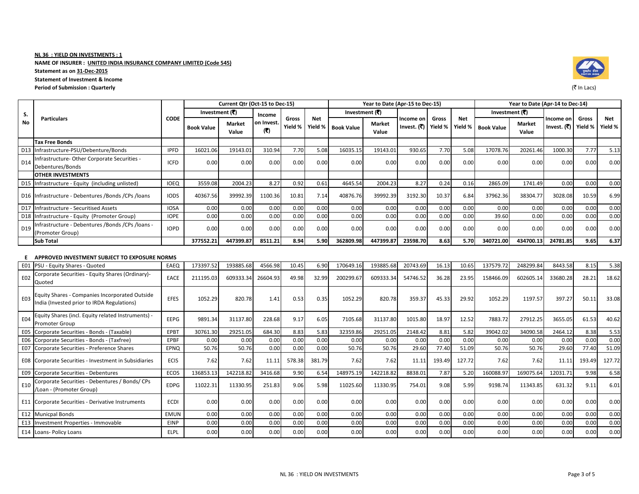NAME OF INSURER : UNITED INDIA INSURANCE COMPANY LIMITED (Code 545)

Statement as on 31-Dec-2015

Statement of Investment & Income

#### Period of Submission : Quarterly

Equity Shares (incl. Equity related Instruments) -

Corporate Securities - Debentures / Bonds/ CPs /Loan - (Promoter Group)

E13 Investment Properties - Immovable TRINP 6.00 0.00 0.00 0.00

Corporate Securities - Preference Shares

E04

E10

Promoter Group

|                 | <b>Particulars</b>                                                                           |             |                   | Current Qtr (Oct-15 to Dec-15)<br>Year to Date (Apr-15 to Dec-15) |                   |                  |                       |                   |                        |                             |                  |                       |                                 | Year to Date (Apr-14 to Dec-14) |                          |                  |                |  |  |  |  |
|-----------------|----------------------------------------------------------------------------------------------|-------------|-------------------|-------------------------------------------------------------------|-------------------|------------------|-----------------------|-------------------|------------------------|-----------------------------|------------------|-----------------------|---------------------------------|---------------------------------|--------------------------|------------------|----------------|--|--|--|--|
| S.              |                                                                                              |             | Investment $(3)$  |                                                                   | Income            |                  |                       | Investment $(3)$  |                        |                             |                  |                       | Investment $(\overline{\zeta})$ |                                 |                          |                  |                |  |  |  |  |
| No              |                                                                                              | <b>CODE</b> | <b>Book Value</b> | <b>Market</b><br>Value                                            | on Invest.<br>(3) | Gross<br>Yield % | <b>Net</b><br>Yield % | <b>Book Value</b> | <b>Market</b><br>Value | Income on<br>Invest. $( ₹)$ | Gross<br>Yield % | <b>Net</b><br>Yield % | <b>Book Value</b>               | <b>Market</b><br>Value          | Income on<br>Invest. (₹) | Gross<br>Yield % | Net<br>Yield % |  |  |  |  |
|                 | <b>Tax Free Bonds</b>                                                                        |             |                   |                                                                   |                   |                  |                       |                   |                        |                             |                  |                       |                                 |                                 |                          |                  |                |  |  |  |  |
|                 | D13 Infrastructure-PSU/Debenture/Bonds                                                       | <b>IPFD</b> | 16021.06          | 19143.01                                                          | 310.94            | 7.70             | 5.08                  | 16035.15          | 19143.01               | 930.65                      | 7.70             | 5.08                  | 17078.76                        | 20261.46                        | 1000.30                  | 7.77             | 5.13           |  |  |  |  |
| D <sub>14</sub> | nfrastructure-Other Corporate Securities -<br>Debentures/Bonds                               | <b>ICFD</b> | 0.00              | 0.00                                                              | 0.00              | 0.00             | 0.00                  | 0.00              | 0.00                   | 0.00                        | 0.00             | 0.00                  | 0.00                            | 0.00                            | 0.00                     | 0.00             | 0.00           |  |  |  |  |
|                 | <b>OTHER INVESTMENTS</b>                                                                     |             |                   |                                                                   |                   |                  |                       |                   |                        |                             |                  |                       |                                 |                                 |                          |                  |                |  |  |  |  |
|                 | D15 Infrastructure - Equity (including unlisted)                                             | <b>IOEQ</b> | 3559.08           | 2004.23                                                           | 8.27              | 0.92             | 0.61                  | 4645.54           | 2004.23                | 8.27                        | 0.24             | 0.16                  | 2865.09                         | 1741.49                         | 0.00                     | 0.00             | 0.00           |  |  |  |  |
|                 | D16 Infrastructure - Debentures / Bonds / CPs / Ioans                                        | <b>IODS</b> | 40367.56          | 39992.39                                                          | 1100.36           | 10.81            | 7.14                  | 40876.76          | 39992.39               | 3192.30                     | 10.37            | 6.84                  | 37962.36                        | 38304.77                        | 3028.08                  | 10.59            | 6.99           |  |  |  |  |
| D <sub>17</sub> | Infrastructure - Securitised Assets                                                          | <b>IOSA</b> | 0.00              | 0.00                                                              | 0.00              | 0.00             | 0.00                  | 0.00              | 0.00                   | 0.00                        | 0.00             | 0.00                  | 0.00                            | 0.00                            | 0.00                     | 0.00             | 0.00           |  |  |  |  |
|                 | D18 Infrastructure - Equity (Promoter Group)                                                 | <b>IOPE</b> | 0.00              | 0.00                                                              | 0.00              | 0.00             | 0.00                  | 0.00              | 0.00                   | 0.00                        | 0.00             | 0.00                  | 39.60                           | 0.00                            | 0.00                     | 0.00             | 0.00           |  |  |  |  |
| D <sub>19</sub> | nfrastructure - Debentures / Bonds / CPs / loans -<br>(Promoter Group)                       | <b>IOPD</b> | 0.00              | 0.00                                                              | 0.00              | 0.00             | 0.00                  | 0.00              | 0.00                   | 0.00                        | 0.00             | 0.00                  | 0.00                            | 0.00                            | 0.00                     | 0.00             | 0.00           |  |  |  |  |
|                 | <b>Sub Total</b>                                                                             |             | 377552.21         | 447399.87                                                         | 8511.21           | 8.94             | 5.90                  | 362809.98         | 447399.87              | 23598.70                    | 8.63             | 5.70                  | 340721.00                       | 434700.13                       | 24781.85                 | 9.65             | 6.37           |  |  |  |  |
|                 | E APPROVED INVESTMENT SUBJECT TO EXPOSURE NORMS                                              |             |                   |                                                                   |                   |                  |                       |                   |                        |                             |                  |                       |                                 |                                 |                          |                  |                |  |  |  |  |
| E01             | <b>PSU - Equity Shares - Quoted</b>                                                          | EAEQ        | 173397.52         | 193885.68                                                         | 4566.98           | 10.45            | 6.90                  | 170649.16         | 193885.68              | 20743.69                    | 16.13            | 10.65                 | 137579.72                       | 248299.84                       | 8443.58                  | 8.15             | 5.38           |  |  |  |  |
| E02             | Corporate Securities - Equity Shares (Ordinary)-<br>Quoted                                   | <b>EACE</b> | 211195.03         | 609333.34                                                         | 26604.93          | 49.98            | 32.99                 | 200299.67         | 609333.34              | 54746.52                    | 36.28            | 23.95                 | 158466.09                       | 602605.14                       | 33680.28                 | 28.21            | 18.62          |  |  |  |  |
| E03             | Equity Shares - Companies Incorporated Outside<br>India (Invested prior to IRDA Regulations) | <b>EFES</b> | 1052.29           | 820.78                                                            | 1.41              | 0.53             | 0.35                  | 1052.29           | 820.78                 | 359.37                      | 45.33            | 29.92                 | 1052.29                         | 1197.57                         | 397.27                   | 50.11            | 33.08          |  |  |  |  |

EEPG 9891.34 31137.80 228.68 9.17 6.05 7105.68 31137.80 1015.80 18.97 12.52 7883.72 27912.25 3655.05 61.53 40.62

50.76 0.00 0.00 0.00 50.76 50.76 29.60 77.40 51.09 50.76 50.76 29.60 77.40 51.09

0.00 0.00 0.00 0.00 0.00 0.00 0.00 0.00 0.00 0.00 0.00 0.00

E05 Corporate Securities - Bonds - (Taxable) EPBT 30761.30 29251.05 684.30 8.83 5.83 32359.86 29251.05 2148.42 8.81

y with the contract of the contract of the contract of the contract of the contract of the contract of the contract of the contract of the contract of the contract of the contract of the contract of the contract of the c

E06 Corporate Securities - Bonds - (Taxfree) EPBF 0.00 0.00 0.00 0.00 0.00 0.00 0.00 0.00 0.00 0.00 0.00 0.00 0.00 0.00 0.00

E08 Corporate Securities - Investment in Subsidiaries | ECIS | 7.62 7.62 | 11.11 578.38 381.79 7.62 11.11 193.49 127.72 7.62 7.62 7.62 11.11 193.49 127.72 E09 Corporate Securities - Debentures ECOS 136853.13 142218.82 3416.68 9.90 6.54 148975.19 142218.82 8838.01 7.87 5.20 160088.97 169075.64 12031.71 9.98 6.58

E11 Corporate Securities - Derivative Instruments ECDI 0.00 0.00 0.00 0.00 0.00 0.00 0.00 0.00 0.00 0.00 0.00 0.00 0.00 0.00 0.00E12 Municpal Bonds EMUN 0.00 0.00 0.00 0.00 0.00 0.00 0.00 0.00 0.00 0.00 0.00 0.00 0.00 0.00 0.00

E14 |Loans- Policy Loans | ELPL | 0.00| 0.00| 0.00| 0.00| 0.00| 0.00| 0.00| 0.00| 0.00| 0.00| 0.00| 0.00| 0.00| 0.00| 0.00| 0.00|

EDPG 11022.31 11330.95 251.83 9.06 5.98 11025.60 11330.95 754.01 9.08 5.99 9198.74 11343.85 631.32 9.11 6.01

51.09

 $0.00$ 

5.82 39042.02 34090.58 2464.12 8.38 5.53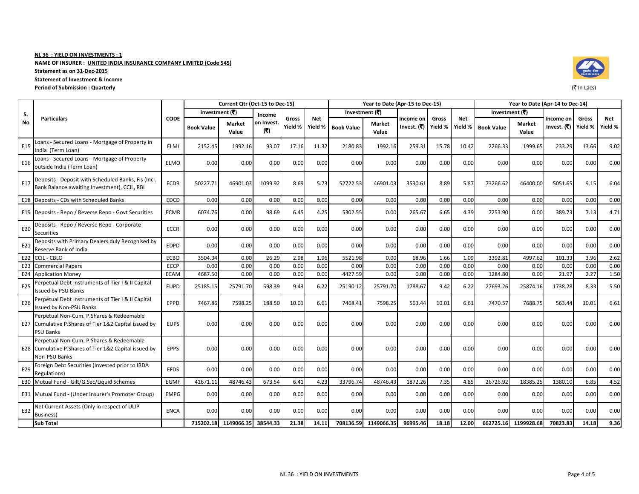NAME OF INSURER : UNITED INDIA INSURANCE COMPANY LIMITED (Code 545)

Statement as on 31-Dec-2015

Statement of Investment & Income

### Period of Submission : Quarterly

|                 | <b>Particulars</b>                                                                                                  |             |                   | Current Qtr (Oct-15 to Dec-15) |                   |                  |                       |                   | Year to Date (Apr-15 to Dec-15) |                          |                  |                       |                   |                        |                                              | Year to Date (Apr-14 to Dec-14) |      |  |
|-----------------|---------------------------------------------------------------------------------------------------------------------|-------------|-------------------|--------------------------------|-------------------|------------------|-----------------------|-------------------|---------------------------------|--------------------------|------------------|-----------------------|-------------------|------------------------|----------------------------------------------|---------------------------------|------|--|
| S.              |                                                                                                                     |             | Investment (₹)    |                                | Income            |                  |                       | Investment (₹)    |                                 |                          |                  |                       | Investment (₹)    |                        | Gross<br>Income on<br>Invest. (₹)<br>Yield % |                                 |      |  |
| No              |                                                                                                                     | <b>CODE</b> | <b>Book Value</b> | <b>Market</b><br>Value         | on Invest.<br>(3) | Gross<br>Yield % | <b>Net</b><br>Yield % | <b>Book Value</b> | <b>Market</b><br>Value          | Income on<br>Invest. (₹) | Gross<br>Yield % | <b>Net</b><br>Yield % | <b>Book Value</b> | <b>Market</b><br>Value |                                              | Net<br>Yield %                  |      |  |
| E <sub>15</sub> | Loans - Secured Loans - Mortgage of Property in<br>India (Term Loan)                                                | ELMI        | 2152.45           | 1992.16                        | 93.07             | 17.16            | 11.32                 | 2180.83           | 1992.16                         | 259.31                   | 15.78            | 10.42                 | 2266.33           | 1999.65                | 233.29                                       | 13.66                           | 9.02 |  |
| E16             | Loans - Secured Loans - Mortgage of Property<br>outside India (Term Loan)                                           | <b>ELMO</b> | 0.00              | 0.00                           | 0.00              | 0.00             | 0.00                  | 0.00              | 0.00                            | 0.00                     | 0.00             | 0.00                  | 0.00              | 0.00                   | 0.00                                         | 0.00                            | 0.00 |  |
| E17             | Deposits - Deposit with Scheduled Banks, Fis (Incl.<br>Bank Balance awaiting Investment), CCIL, RBI                 | <b>ECDB</b> | 50227.71          | 46901.03                       | 1099.92           | 8.69             | 5.73                  | 52722.53          | 46901.03                        | 3530.61                  | 8.89             | 5.87                  | 73266.62          | 46400.00               | 5051.65                                      | 9.15                            | 6.04 |  |
|                 | E18 Deposits - CDs with Scheduled Banks                                                                             | <b>EDCD</b> | 0.00              | 0.00                           | 0.00              | 0.00             | 0.00                  | 0.00              | 0.00                            | 0.00                     | 0.00             | 0.00                  | 0.00              | 0.00                   | 0.00                                         | 0.00                            | 0.00 |  |
|                 | E19 Deposits - Repo / Reverse Repo - Govt Securities                                                                | <b>ECMR</b> | 6074.76           | 0.00                           | 98.69             | 6.45             | 4.25                  | 5302.55           | 0.00                            | 265.67                   | 6.65             | 4.39                  | 7253.90           | 0.00                   | 389.73                                       | 7.13                            | 4.71 |  |
| E20             | Deposits - Repo / Reverse Repo - Corporate<br><b>Securities</b>                                                     | <b>ECCR</b> | 0.00              | 0.00                           | 0.00              | 0.00             | 0.00                  | 0.00              | 0.00                            | 0.00                     | 0.00             | 0.00                  | 0.00              | 0.00                   | 0.00                                         | 0.00                            | 0.00 |  |
| E21             | Deposits with Primary Dealers duly Recognised by<br>Reserve Bank of India                                           | <b>EDPD</b> | 0.00              | 0.00                           | 0.00              | 0.00             | 0.00                  | 0.00              | 0.00                            | 0.00                     | 0.00             | 0.00                  | 0.00              | 0.00                   | 0.00                                         | 0.00                            | 0.00 |  |
| E22             | CCIL - CBLO                                                                                                         | <b>ECBO</b> | 3504.34           | 0.00                           | 26.29             | 2.98             | 1.96                  | 5521.98           | 0.00                            | 68.96                    | 1.66             | 1.09                  | 3392.81           | 4997.62                | 101.33                                       | 3.96                            | 2.62 |  |
|                 | <b>E23</b> Commercial Papers                                                                                        | <b>ECCP</b> | 0.00              | 0.00                           | 0.00              | 0.00             | 0.00                  | 0.00              | 0.00                            | 0.00                     | 0.00             | 0.00                  | 0.00              | 0.00                   | 0.00                                         | 0.00                            | 0.00 |  |
| E24             | <b>Application Money</b>                                                                                            | <b>ECAM</b> | 4687.50           | 0.00                           | 0.00              | 0.00             | 0.00                  | 4427.59           | 0.00                            | 0.00                     | 0.00             | 0.00                  | 1284.80           | 0.00                   | 21.97                                        | 2.27                            | 1.50 |  |
| E25             | Perpetual Debt Instruments of Tier I & II Capital<br><b>Issued by PSU Banks</b>                                     | <b>EUPD</b> | 25185.15          | 25791.70                       | 598.39            | 9.43             | 6.22                  | 25190.12          | 25791.70                        | 1788.67                  | 9.42             | 6.22                  | 27693.26          | 25874.16               | 1738.28                                      | 8.33                            | 5.50 |  |
| E26             | Perpetual Debt Instruments of Tier I & II Capital<br>Issued by Non-PSU Banks                                        | EPPD        | 7467.86           | 7598.25                        | 188.50            | 10.01            | 6.61                  | 7468.41           | 7598.25                         | 563.44                   | 10.01            | 6.61                  | 7470.57           | 7688.75                | 563.44                                       | 10.01                           | 6.61 |  |
| E27             | Perpetual Non-Cum. P.Shares & Redeemable<br>Cumulative P. Shares of Tier 1&2 Capital issued by<br><b>PSU Banks</b>  | <b>EUPS</b> | 0.00              | 0.00                           | 0.00              | 0.00             | 0.00                  | 0.00              | 0.00                            | 0.00                     | 0.00             | 0.00                  | 0.00              | 0.00                   | 0.00                                         | 0.00                            | 0.00 |  |
|                 | Perpetual Non-Cum. P.Shares & Redeemable<br>E28 Cumulative P. Shares of Tier 1&2 Capital issued by<br>Non-PSU Banks | <b>EPPS</b> | 0.00              | 0.00                           | 0.00              | 0.00             | 0.00                  | 0.00              | 0.00                            | 0.00                     | 0.00             | 0.00                  | 0.00              | 0.00                   | 0.00                                         | 0.00                            | 0.00 |  |
| E29             | Foreign Debt Securities (Invested prior to IRDA<br>Regulations)                                                     | <b>EFDS</b> | 0.00              | 0.00                           | 0.00              | 0.00             | 0.00                  | 0.00              | 0.00                            | 0.00                     | 0.00             | 0.00                  | 0.00              | 0.00                   | 0.00                                         | 0.00                            | 0.00 |  |
| E30             | Mutual Fund - Gilt/G.Sec/Liquid Schemes                                                                             | <b>EGMF</b> | 41671.11          | 48746.43                       | 673.54            | 6.41             | 4.23                  | 33796.74          | 48746.43                        | 1872.26                  | 7.35             | 4.85                  | 26726.92          | 18385.25               | 1380.10                                      | 6.85                            | 4.52 |  |
|                 | E31 Mutual Fund - (Under Insurer's Promoter Group)                                                                  | <b>EMPG</b> | 0.00              | 0.00                           | 0.00              | 0.00             | 0.00                  | 0.00              | 0.00                            | 0.00                     | 0.00             | 0.00                  | 0.00              | 0.00                   | 0.00                                         | 0.00                            | 0.00 |  |
| E32             | Net Current Assets (Only in respect of ULIP<br>Business)                                                            | <b>ENCA</b> | 0.00              | 0.00                           | 0.00              | 0.00             | 0.00                  | 0.00              | 0.00                            | 0.00                     | 0.00             | 0.00                  | 0.00              | 0.00                   | 0.00                                         | 0.00                            | 0.00 |  |
|                 | <b>Sub Total</b>                                                                                                    |             |                   | 715202.18 1149066.35 38544.33  |                   | 21.38            | 14.11                 |                   | 708136.59 1149066.35            | 96995.46                 | 18.18            | 12.00                 |                   | 662725.16 1199928.68   | 70823.83                                     | 14.18                           | 9.36 |  |



y with the contract of the contract of the contract of the contract of the contract of the contract of the contract of the contract of the contract of the contract of the contract of the contract of the contract of the c